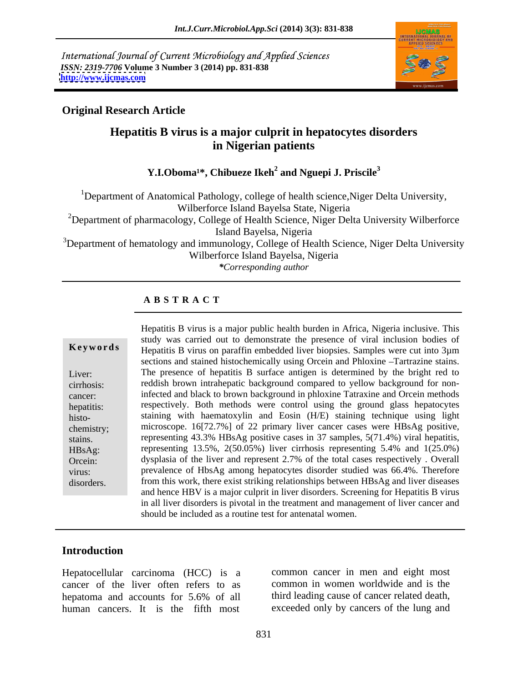International Journal of Current Microbiology and Applied Sciences *ISSN: 2319-7706* **Volume 3 Number 3 (2014) pp. 831-838 <http://www.ijcmas.com>**



### **Original Research Article**

# **Hepatitis B virus is a major culprit in hepatocytes disorders in Nigerian patients**

### Y.I.Oboma<sup>1\*</sup>, Chibueze Ikeh<sup>2</sup> and Nguepi J. Priscile<sup>3</sup>  **and Nguepi J. Priscile3**

<sup>1</sup>Department of Anatomical Pathology, college of health science, Niger Delta University, Wilberforce Island Bayelsa State, Nigeria

<sup>2</sup>Department of pharmacology, College of Health Science, Niger Delta University Wilberforce Island Bayelsa, Nigeria

<sup>3</sup>Department of hematology and immunology, College of Health Science, Niger Delta University Wilberforce Island Bayelsa, Nigeria

*\*Corresponding author*

### **A B S T R A C T**

**Keywords** Hepatitis B virus on paraffin embedded liver biopsies. Samples were cut into 3µm Liver: The presence of hepatitis B surface antigen is determined by the bright red to cirrhosis: reddish brown intrahepatic background compared to yellow background for noncancer: infected and black to brown background in phloxine Tatraxine and Orcein methods hepatitis: respectively. Both methods were control using the ground glass hepatocytes histo- staining with haematoxylin and Eosin (H/E) staining technique using light chemistry; microscope. 16[72.7%] of 22 primary liver cancer cases were HBsAg positive, stains. representing 43.3% HBsAg positive cases in 37 samples, 5(71.4%) viral hepatitis, HBsAg: representing 13.5%, 2(50.05%) liver cirrhosis representing 5.4% and 1(25.0%) Orcein: dysplasia of the liver and represent 2.7% of the total cases respectively . Overall virus: prevalence of HbsAg among hepatocytes disorder studied was 66.4%. Therefore disorders. from this work, there exist striking relationships between HBsAg and liver diseases Hepatitis B virus is a major public health burden in Africa, Nigeria inclusive. This study was carried out to demonstrate the presence of viral inclusion bodies of sections and stained histochemically using Orcein and Phloxine -Tartrazine stains. microscope. 16[72.7%] of 22 primary liver cancer cases were HBsAg positive, representing 43.3% HBsAg positive cases in 37 samples, 5(71.4%) viral hepatitis, and hence HBV is a major culprit in liver disorders. Screening for Hepatitis B virus in all liver disorders is pivotal in the treatment and management of liver cancer and should be included as a routine test for antenatal women.

### **Introduction**

Hepatocellular carcinoma (HCC) is a cancer of the liver often refers to as hepatoma and accounts for 5.6% of all human cancers. It is the fifth most exceeded only by cancers of the lung and

common cancer in men and eight most common in women worldwide and is the third leading cause of cancer related death,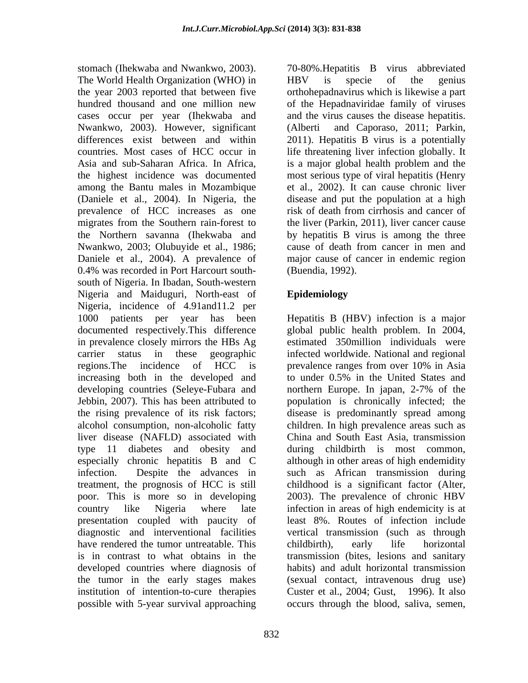stomach (Ihekwaba and Nwankwo, 2003). 70-80%.Hepatitis B virus abbreviated The World Health Organization (WHO) in HBV is specie of the genius the year 2003 reported that between five orthohepadnavirus which is likewise a part hundred thousand and one million new of the Hepadnaviridae family of viruses cases occur per year (Ihekwaba and and the virus causes the disease hepatitis. Nwankwo, 2003). However, significant (Alberti and Caporaso, 2011; Parkin, differences exist between and within 2011). Hepatitis B virus is a potentially countries. Most cases of HCC occur in life threatening liver infection globally. It Asia and sub-Saharan Africa. In Africa, is a major global health problem and the the highest incidence was documented most serious type of viral hepatitis (Henry among the Bantu males in Mozambique (Daniele et al., 2004). In Nigeria, the prevalence of HCC increases as one risk of death from cirrhosis and cancer of migrates from the Southern rain-forest to the Northern savanna (Ihekwaba and by hepatitis B virus is among the three Nwankwo, 2003; Olubuyide et al., 1986; cause of death from cancer in men and Daniele et al., 2004). A prevalence of major cause of cancer in endemic region 0.4% was recorded in Port Harcourt south-<br>(Buendia, 1992). south of Nigeria. In Ibadan, South-western Nigeria and Maiduguri, North-east of Epidemiology Nigeria, incidence of 4.91and11.2 per 1000 patients per year has been Hepatitis B (HBV) infection is a major documented respectively.This difference in prevalence closely mirrors the HBs Ag estimated 350million individuals were carrier status in these geographic infected worldwide. National and regional regions. The incidence of HCC is prevalence ranges from over 10% in Asia increasing both in the developed and to under 0.5% in the United States and developing countries (Seleye-Fubara and northern Europe. In japan, 2-7% of the Jebbin, 2007). This has been attributed to population is chronically infected; the the rising prevalence of its risk factors; disease is predominantly spread among alcohol consumption, non-alcoholic fatty liver disease (NAFLD) associated with type 11 diabetes and obesity and during childbirth is most common, especially chronic hepatitis B and C although in other areas of high endemidity infection. Despite the advances in such as African transmission during treatment, the prognosis of HCC is still poor. This is more so in developing 2003). The prevalence of chronic HBV country like Nigeria where late infection in areas of high endemicity is at presentation coupled with paucity of least 8%. Routes of infection include diagnostic and interventional facilities vertical transmission (such as through have rendered the tumor untreatable. This childbirth), early life horizontal is in contrast to what obtains in the transmission (bites, lesions and sanitary developed countries where diagnosis of the tumor in the early stages makes (sexual contact, intravenous drug use) institution of intention-to-cure therapies Custer et al., 2004; Gust, 1996). It also

HBV is specie of the genius (Alberti and Caporaso, 2011; Parkin, 2011). Hepatitis <sup>B</sup> virus is <sup>a</sup> potentially et al., 2002). It can cause chronic liver disease and put the population at a high the liver (Parkin, 2011), liver cancer cause (Buendia, 1992).

## **Epidemiology**

possible with 5-year survival approaching occurs through the blood, saliva, semen,global public health problem. In 2004, prevalence ranges from over 10% in Asia northern Europe. In japan, 2-7% of the children. In high prevalence areas such as China and South East Asia, transmission childhood is <sup>a</sup> significant factor (Alter, 2003). The prevalence of chronic HBV childbirth), early life horizontal habits) and adult horizontal transmission Custer et al., 2004; Gust, 1996). It also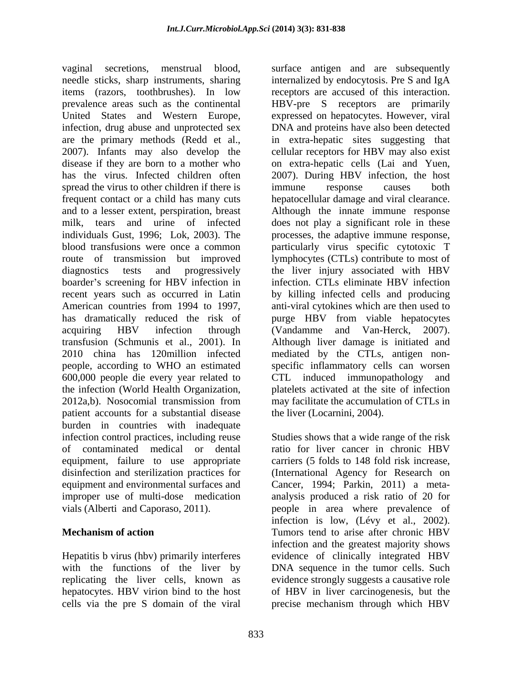vaginal secretions, menstrual blood, surface antigen and are subsequently needle sticks, sharp instruments, sharing internalized by endocytosis. Pre S and IgA items (razors, toothbrushes). In low receptors are accused of this interaction. prevalence areas such as the continental HBV-pre S receptors are primarily United States and Western Europe, expressed on hepatocytes. However, viral infection, drug abuse and unprotected sex are the primary methods (Redd et al., in extra-hepatic sites suggesting that 2007). Infants may also develop the cellular receptors for HBV may also exist disease if they are born to a mother who on extra-hepatic cells (Lai and Yuen, has the virus. Infected children often 2007). During HBV infection, the host spread the virus to other children if there is immune response causes both frequent contact or a child has many cuts hepatocellular damage and viral clearance. and to a lesser extent, perspiration, breast Although the innate immune response milk, tears and urine of infected does not play a significant role in these individuals Gust, 1996; Lok, 2003). The processes, the adaptive immune response, blood transfusions were once a common particularly virus specific cytotoxic T route of transmission but improved lymphocytes (CTLs) contribute to most of diagnostics tests and progressively the liver injury associated with HBV boarder's screening for HBV infection in recent years such as occurred in Latin by killing infected cells and producing American countries from 1994 to 1997, anti-viral cytokines which are then used to has dramatically reduced the risk of purge HBV from viable hepatocytes acquiring HBV infection through (Vandamme and Van-Herck, 2007). transfusion (Schmunis et al., 2001). In 2010 china has 120million infected mediated by the CTLs, antigen non people, according to WHO an estimated specific inflammatory cells can worsen 600,000 people die every year related to CTL induced immunopathology and the infection (World Health Organization, platelets activated at the site of infection 2012a,b). Nosocomial transmission from may facilitate the accumulation of CTLs in patient accounts for a substantial disease burden in countries with inadequate infection control practices, including reuse Studies shows that a wide range of the risk of contaminated medical or dental equipment, failure to use appropriate carriers (5 folds to 148 fold risk increase, disinfection and sterilization practices for (International Agency for Research on equipment and environmental surfaces and Cancer, 1994; Parkin, 2011) a meta improper use of multi-dose medication analysis produced a risk ratio of 20 for vials (Alberti and Caporaso, 2011). people in area where prevalence of

Hepatitis b virus (hbv) primarily interferes with the functions of the liver by DNA and proteins have also been detected on extra-hepatic cells (Lai and Yuen, 2007). During HBV infection, the host immune response causes both infection. CTLs eliminate HBV infection (Vandamme and Van-Herck, 2007). Although liver damage is initiated and platelets activated at the site of infection may facilitate the accumulation of CTLs in the liver (Locarnini, 2004).

**Mechanism of action** *CON* **CON** *CON* **CON CON CON CON CON CON CON CON CON CON CON CON CON CON CON CON CON CON CON CON CON CON CON CON CON CON CON CON CON CON** replicating the liver cells, known as evidence strongly suggests a causative role hepatocytes. HBV virion bind to the host of HBV in liver carcinogenesis, but the cells via the pre S domain of the viral precise mechanism through which HBVratio for liver cancer in chronic HBV infection is low, (Lévy et al., 2002). Tumors tend to arise after chronic HBV infection and the greatest majority shows evidence of clinically integrated HBV DNA sequence in the tumor cells. Such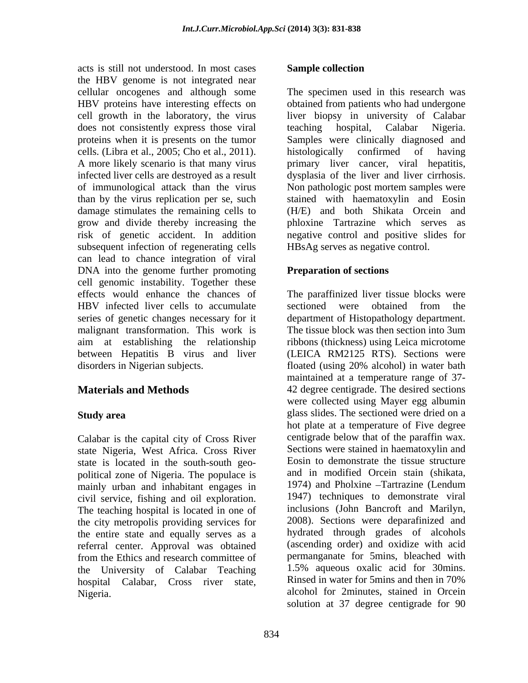acts is still not understood. In most cases the HBV genome is not integrated near cellular oncogenes and although some HBV proteins have interesting effects on obtained from patients who had undergone cell growth in the laboratory, the virus liver biopsy in university of Calabar does not consistently express those viral teaching hospital, Calabar Nigeria. proteins when it is presents on the tumor Samples were clinically diagnosed and cells. (Libra et al., 2005; Cho et al., 2011). A more likely scenario is that many virus primary liver cancer, viral hepatitis, infected liver cells are destroyed as a result dysplasia of the liver and liver cirrhosis. of immunological attack than the virus Non pathologic post mortem samples were than by the virus replication per se, such damage stimulates the remaining cells to (H/E) and both Shikata Orcein and grow and divide thereby increasing the risk of genetic accident. In addition negative control and positive slides for subsequent infection of regenerating cells can lead to chance integration of viral DNA into the genome further promoting cell genomic instability. Together these effects would enhance the chances of The paraffinized liver tissue blocks were HBV infected liver cells to accumulate sectioned were obtained from the series of genetic changes necessary for it department of Histopathology department. malignant transformation. This work is aim at establishing the relationship ribbons (thickness) using Leica microtome between Hepatitis B virus and liver (LEICA RM2125 RTS). Sections were

Calabar is the capital city of Cross River state Nigeria, West Africa. Cross River state is located in the south-south geo political zone of Nigeria. The populace is and in modified Orcein stain (shikata, mainly urban and inhabitant engages in 1974) and Pholxine – Tartrazine (Lendum mainly urban and inhabitant engages in civil service, fishing and oil exploration. 1947) techniques to demonstrate viral<br>The teaching hospital is located in one of inclusions (John Bancroft and Marilyn, The teaching hospital is located in one of inclusions (John Bancroft and Marilyn, the city metropolis providing services for 2008). Sections were deparafinized and the city metropolis providing services for the entire state and equally serves as a referral center. Approval was obtained from the Ethics and research committee of the University of Calabar Teaching hospital Calabar, Cross river state,

### **Sample collection**

The specimen used in this research was teaching hospital, Calabar Nigeria. histologically confirmed of having stained with haematoxylin and Eosin phloxine Tartrazine which serves as HBsAg serves as negative control.

### **Preparation of sections**

disorders in Nigerian subjects. floated (using 20% alcohol) in water bath **Materials and Methods** 42 degree centigrade. The desired sections **Study area** extending glass slides. The sectioned were dried on a Nigeria. alcohol for 2minutes, stained in Orcein sectioned were obtained from the The tissue block was then section into 3um maintained at a temperature range of 37 were collected using Mayer egg albumin hot plate at a temperature of Five degree centigrade below that of the paraffin wax. Sections were stained in haematoxylin and Eosin to demonstrate the tissue structure and in modified Orcein stain (shikata, 1974) and Pholxine Tartrazine (Lendum 1947) techniques to demonstrate viral inclusions (John Bancroft and Marilyn, 2008). Sections were deparafinized and hydrated through grades of alcohols (ascending order) and oxidize with acid permanganate for 5mins, bleached with 1.5% aqueous oxalic acid for 30mins. Rinsed in water for 5mins and then in 70% solution at 37 degree centigrade for 90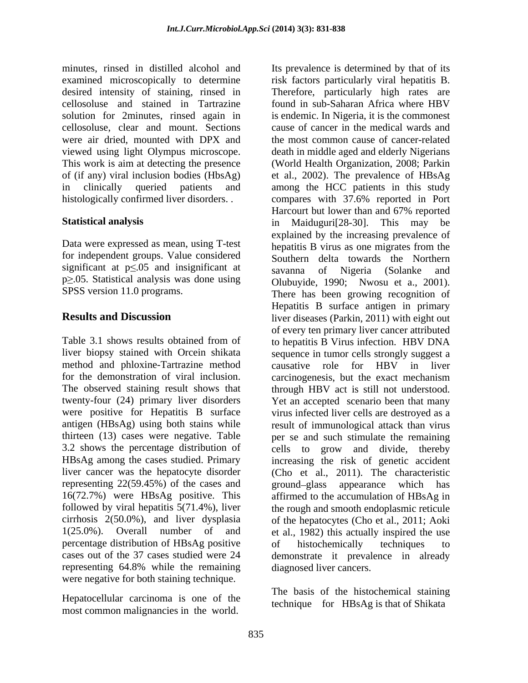minutes, rinsed in distilled alcohol and Its prevalence is determined by that of its cellosoluse, clear and mount. Sections were air dried, mounted with DPX and

Data were expressed as mean, using T-test for independent groups. Value considered significant at  $p \le 0.05$  and insignificant at savanna of Nigeria (Solanke and  $p \ge 0.05$ . Statistical analysis was done using Olubuyide, 1990; Nwosu et a., 2001).

method and phloxine-Tartrazine method causative role for HBV in liver representing 22(59.45%) of the cases and ground-glass appearance which has percentage distribution of HBsAg positive representing 64.8% while the remaining were negative for both staining technique.

Hepatocellular carcinoma is one of the most common malignancies in the world.

examined microscopically to determine risk factors particularly viral hepatitis B. desired intensity of staining, rinsed in Therefore, particularly high rates are cellosoluse and stained in Tartrazine found in sub-Saharan Africawhere HBV solution for 2minutes, rinsed again in is endemic. In Nigeria, it is the commonest viewed using light Olympus microscope. death in middle aged and elderly Nigerians This work is aim at detecting the presence (World Health Organization, 2008; Parkin of (if any) viral inclusion bodies (HbsAg) et al., 2002).The prevalence of HBsAg in clinically queried patients and among the HCC patients in this study histologically confirmed liver disorders. . compares with 37.6% reported in Port **Statistical analysis** in Maiduguri [28-30]. This may be SPSS version 11.0 programs. There has been growing recognition of **Results and Discussion** liver diseases (Parkin, 2011) with eight out Table 3.1 shows results obtained from of to hepatitis B Virus infection. HBV DNA liver biopsy stained with Orcein shikata sequence in tumor cells strongly suggest a for the demonstration of viral inclusion. carcinogenesis, but the exact mechanism The observed staining result shows that through HBV act is still not understood. twenty-four (24) primary liver disorders Yet an accepted scenario been that many were positive for Hepatitis B surface virus infected liver cells are destroyed as a antigen (HBsAg) using both stains while result of immunological attack than virus thirteen (13) cases were negative. Table per se and such stimulate the remaining 3.2 shows the percentage distribution of cells to grow and divide, thereby HBsAg among the cases studied. Primary increasing the risk of genetic accident liver cancer was the hepatocyte disorder (Cho et al., 2011). The characteristic 16(72.7%) were HBsAg positive. This affirmed to the accumulation of HBsAg in followed by viral hepatitis 5(71.4%), liver the rough and smooth endoplasmic reticule cirrhosis 2(50.0%), and liver dysplasia of the hepatocytes (Cho et al., 2011; Aoki 1(25.0%). Overall number of and et al., 1982) this actually inspired the use cases out of the 37 cases studied were 24 demonstrate it prevalence in already cause of cancer in the medical wards and the most common cause of cancer-related Harcourt but lower than and 67% reported in Maiduguri[28-30]. This may be explained by the increasing prevalence of hepatitis B virus as one migrates from the Southern delta towards the Northern savanna of Nigeria (Solanke and Olubuyide, 1990; Nwosu et a., 2001). There has been growing recognition of Hepatitis B surface antigen in primary of every ten primary liver cancer attributed causative role for HBV in liver ground-glass appearance which of histochemically techniques to diagnosed liver cancers.

> The basis of the histochemical staining technique for HBsAg is that of Shikata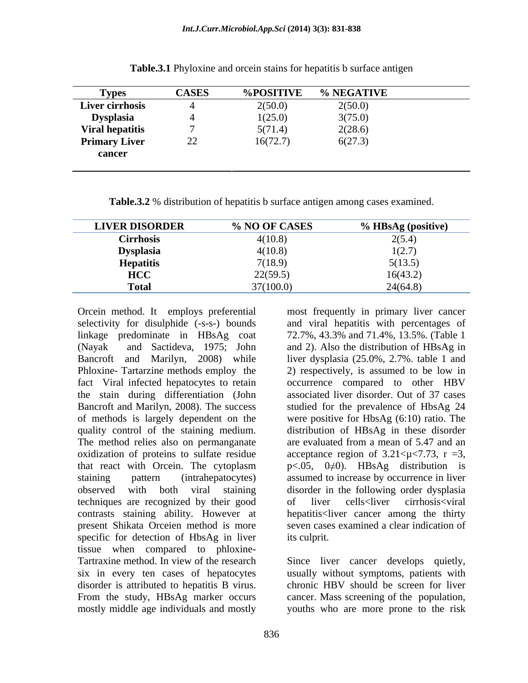| <b>Types</b>           | <b>CASES</b>   | <b>%POSITIVE</b> | <b>% NEGATIVE</b> |
|------------------------|----------------|------------------|-------------------|
| <b>Liver cirrhosis</b> |                | 2(50.0)          | 2(50.0)           |
| <b>Dysplasia</b>       |                | 1(25.0)          | 3(75.0)           |
| <b>Viral hepatitis</b> |                | 5(71.4)          | 2(28.6)           |
| <b>Primary Liver</b>   | $\Omega$<br>∠∠ | 16(72.7)         | 6(27.3)           |
| cancer                 |                |                  |                   |

**Table.3.1** Phyloxine and orcein stains for hepatitis b surface antigen

**Table.3.2** % distribution of hepatitis b surface antigen among cases examined.

| <b>LIVER DISORDER</b> | % NO OF CASES | % HBsAg (positive)                                  |
|-----------------------|---------------|-----------------------------------------------------|
| $\sim$<br>Cirrhosis   | 4(10.8)       | $\angle$ (4)                                        |
| <b>Dysplasia</b><br>. | 4(10.8)       | $\overline{\phantom{a}}\cdot\overline{\phantom{a}}$ |
| <b>Hepatitis</b>      | 7(18.9)       | 5(13.5)                                             |
| <b>HCC</b>            | 22(59.5)      | 16(43.2)                                            |
| <b>Total</b>          | 37(100.0)     | 24(64.8)                                            |

quality control of the staining medium. The method relies also on permanganate are evaluated from a mean of 5.47 and an techniques are recognized by their good present Shikata Orceien method is more specific for detection of HbsAg in liver its culprit. tissue when compared to phloxine- Tartraxine method. In view of the research Since liver cancer develops quietly, six in every ten cases of hepatocytes disorder is attributed to hepatitis B virus. From the study, HBsAg marker occurs cancer. Mass screening of the population,

Orcein method. It employs preferential most frequently in primary liver cancer selectivity for disulphide (-s-s-) bounds and viral hepatitis with percentages of linkage predominate in HBsAg coat 72.7%, 43.3% and 71.4%, 13.5%. (Table 1 (Nayak and Sactideva, 1975; John and 2). Also the distribution of HBsAg in Bancroft and Marilyn, 2008) while liver dysplasia (25.0%, 2.7%. table 1 and Phloxine- Tartarzine methods employ the 2) respectively, is assumed to be low in fact Viral infected hepatocytes to retain occurrence compared to other HBV the stain during differentiation (John associated liver disorder. Out of 37 cases Bancroft and Marilyn, 2008). The success studied for the prevalence of HbsAg 24 of methods is largely dependent on the were positive for HbsAg (6:10) ratio. The oxidization of proteins to sulfate residue acceptance region of  $3.21 < \mu < 7.73$ , r = 3, that react with Orcein. The cytoplasm  $p<.05$ ,  $0\neq 0$ ). HBsAg distribution is staining pattern (intrahepatocytes) assumed to increase by occurrence in liver observed with both viral staining disorder in the following order dysplasia contrasts staining ability. However at hepatitis<liver cancer among the thirty distribution of HBsAg in these disorder are evaluated from a mean of 5.47 and an of liver cells<liver cirrhosis<viral seven cases examined a clear indication of its culprit.

usually without symptoms, patients with chronic HBV should be screen for liver mostly middle age individuals and mostly youths who are more prone to the risk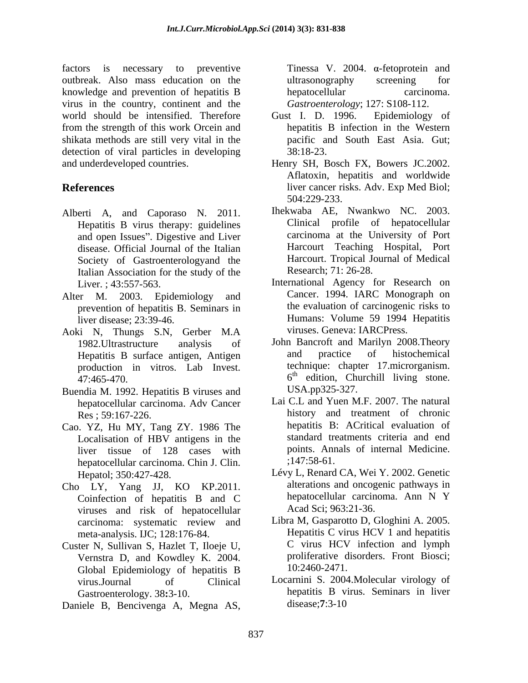factors is necessary to preventive Tinessa V. 2004.  $\alpha$ -fetoprotein and outbreak. Also mass education on the knowledge and prevention of hepatitis B hepatocellular carcinoma. virus in the country, continent and the world should be intensified. Therefore Gust I. D. 1996. Epidemiology of from the strength of this work Orcein and shikata methods are still very vital in the detection of viral particles in developing 38:18-23. and underdeveloped countries. Henry SH, Bosch FX, Bowers JC.2002.

- Alberti A, and Caporaso N. 2011. Hepatitis B virus therapy: guidelines and open Issues". Digestive and Liver disease. Official Journal of the Italian Society of Gastroenterologyand the Italian Association for the study of the
- Alter M. 2003. Epidemiology and prevention of hepatitis B. Seminars in
- Aoki N, Thungs S.N, Gerber M.A production in vitros. Lab Invest.
- Buendia M. 1992. Hepatitis B viruses and hepatocellular carcinoma. Adv Cancer
- Cao. YZ, Hu MY, Tang ZY. 1986 The Localisation of HBV antigens in the liver tissue of 128 cases with points. And<br>hepatocellular carcinoma Chin I Clin :147:58-61. hepatocellular carcinoma. Chin J. Clin.
- Coinfection of hepatitis B and C viruses and risk of hepatocellular carcinoma: systematic review and meta-analysis. IJC; 128:176-84.
- Custer N, Sullivan S, Hazlet T, Iloeje U, Vernstra D, and Kowdley K. 2004. Global Epidemiology of hepatitis B
- Daniele B, Bencivenga A, Megna AS,

ultrasonography screening for hepatocellular carcinoma. *Gastroenterology*; 127: S108-112.

- Gust I. D. 1996. Epidemiology of hepatitis B infection in the Western pacific and South East Asia. Gut; 38:18-23.
- **References** liver cancer risks. Adv. Exp Med Biol; Aflatoxin, hepatitis and worldwide 504:229-233.
	- Ihekwaba AE, Nwankwo NC. 2003. Clinical profile of hepatocellular carcinoma at the University of Port Harcourt Teaching Hospital, Port Harcourt. Tropical Journal of Medical Research; 71: 26-28.
	- Liver. ; 43:557-563. International Agency for Research on liver disease; 23:39-46. Humans: Volume 59 1994 Hepatitis Cancer. 1994. IARC Monograph on the evaluation of carcinogenic risks to viruses. Geneva: IARCPress.
	- 1982.Ultrastructure analysis of John Bancroft and Marilyn 2008.Theory Hepatitis B surface antigen, Antigen and practice of histochemical  $47:465-470$ . and practice of histochemical technique: chapter 17.microrganism. USA.pp325-327.
	- Res ; 59:167-226. history and treatment of chronic Lai C.L and Yuen M.F. 2007. The natural hepatitis B: ACritical evaluation of standard treatments criteria and end points. Annals of internal Medicine. ;147:58-61.
- Hepatol; 350:427-428. Lévy L, Renard CA, Wei Y. 2002. Genetic Cho LY, Yang JJ, KO KP.2011. alterations and oncogenic pathways in<br>Coinfection of henatitis B and C hepatocellular carcinoma. Ann N Y alterations and oncogenic pathways in hepatocellular carcinoma. Ann N Y Acad Sci; 963:21-36.
	- Libra M, Gasparotto D, Gloghini A. 2005. Hepatitis C virus HCV 1 and hepatitis C virus HCV infection and lymph proliferative disorders. Front Biosci; 10:2460-2471.
	- virus.Journal of Clinical Locarnini S. 2004.Molecular virology of Gastroenterology. 38**:**3-10. hepatitis B virus. Seminars in liver disease;**7**:3-10